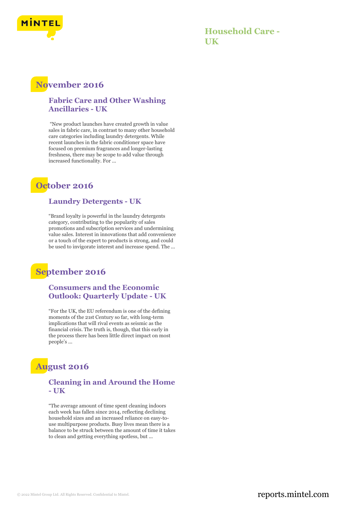

### **Household Care - UK**

### **November 2016**

#### **Fabric Care and Other Washing Ancillaries - UK**

"New product launches have created growth in value sales in fabric care, in contrast to many other household care categories including laundry detergents. While recent launches in the fabric conditioner space have focused on premium fragrances and longer-lasting freshness, there may be scope to add value through increased functionality. For ...

## **October 2016**

#### **Laundry Detergents - UK**

"Brand loyalty is powerful in the laundry detergents category, contributing to the popularity of sales promotions and subscription services and undermining value sales. Interest in innovations that add convenience or a touch of the expert to products is strong, and could be used to invigorate interest and increase spend. The ...

### **September 2016**

#### **Consumers and the Economic Outlook: Quarterly Update - UK**

"For the UK, the EU referendum is one of the defining moments of the 21st Century so far, with long-term implications that will rival events as seismic as the financial crisis. The truth is, though, that this early in the process there has been little direct impact on most people's ...

# **August 2016**

#### **Cleaning in and Around the Home - UK**

"The average amount of time spent cleaning indoors each week has fallen since 2014, reflecting declining household sizes and an increased reliance on easy-touse multipurpose products. Busy lives mean there is a balance to be struck between the amount of time it takes to clean and getting everything spotless, but ...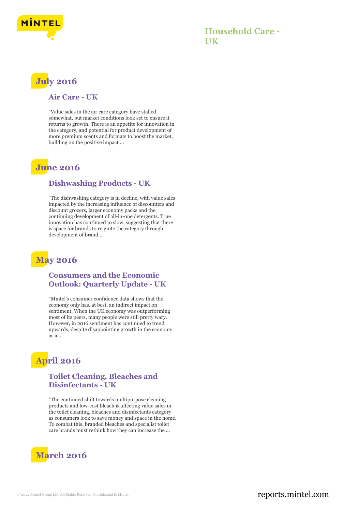

# **July 2016**

#### **Air Care - UK**

"Value sales in the air care category have stalled somewhat, but market conditions look set to ensure it returns to growth. There is an appetite for innovation in the category, and potential for product development of more premium scents and formats to boost the market, building on the positive impact ...

## **June 2016**

#### **Dishwashing Products - UK**

"The dishwashing category is in decline, with value sales impacted by the increasing influence of discounters and discount grocers, larger economy packs and the continuing development of all-in-one detergents. True innovation has continued to slow, suggesting that there is space for brands to reignite the category through development of brand ...

### **May 2016**

#### **Consumers and the Economic Outlook: Quarterly Update - UK**

"Mintel's consumer confidence data shows that the economy only has, at best, an indirect impact on sentiment. When the UK economy was outperforming most of its peers, many people were still pretty wary. However, in 2016 sentiment has continued to trend upwards, despite disappointing growth in the economy as a ...

# **April 2016**

#### **Toilet Cleaning, Bleaches and Disinfectants - UK**

"The continued shift towards multipurpose cleaning products and low-cost bleach is affecting value sales in the toilet cleaning, bleaches and disinfectants category as consumers look to save money and space in the home. To combat this, branded bleaches and specialist toilet care brands must rethink how they can increase the ...